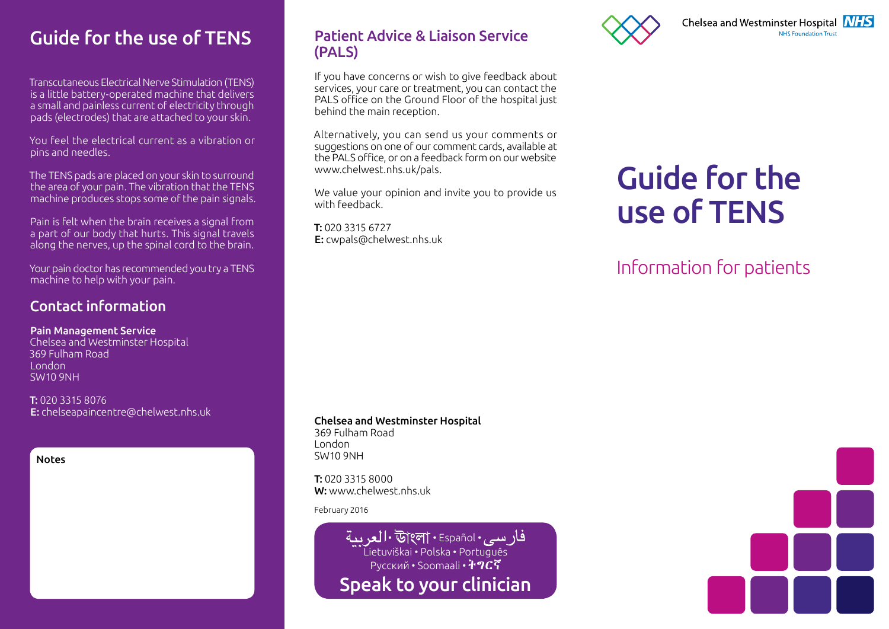# Guide for the use of TENS

Transcutaneous Electrical Nerve Stimulation (TENS) is a little battery-operated machine that delivers a small and painless current of electricity through pads (electrodes) that are attached to your skin.

You feel the electrical current as a vibration or pins and needles.

The TENS pads are placed on your skin to surround the area of your pain. The vibration that the TENS machine produces stops some of the pain signals.

Pain is felt when the brain receives a signal from a part of our body that hurts. This signal travels along the nerves, up the spinal cord to the brain.

Your pain doctor has recommended you try a TENS machine to help with your pain.

#### Contact information

#### Pain Management Service

Chelsea and Westminster Hospital 369 Fulham Road London SW10 9NH

T: 020 3315 8076 E: chelseapaincentre@chelwest.nhs.uk

Notes

#### Patient Advice & Liaison Service (PALS)

If you have concerns or wish to give feedback about services, your care or treatment, you can contact the PALS office on the Ground Floor of the hospital just behind the main reception.

Alternatively, you can send us your comments or suggestions on one of our comment cards, available at the PALS office, or on a feedback form on our website www.chelwest.nhs.uk/pals.

We value your opinion and invite you to provide us with feedback.

T: 020 3315 6727 E: cwpals@chelwest.nhs.uk



# Guide for the use of TENS

# Information for patients

#### Chelsea and Westminster Hospital

369 Fulham Road London SW10 9NH

T: 020 3315 8000 W: www.chelwest.nhs.uk

February 2016

فار سي. Il • উ|ংলা • Español • العر سة Lietuviškai • Polska • Português Русский • Soomaali • Speak to your clinician